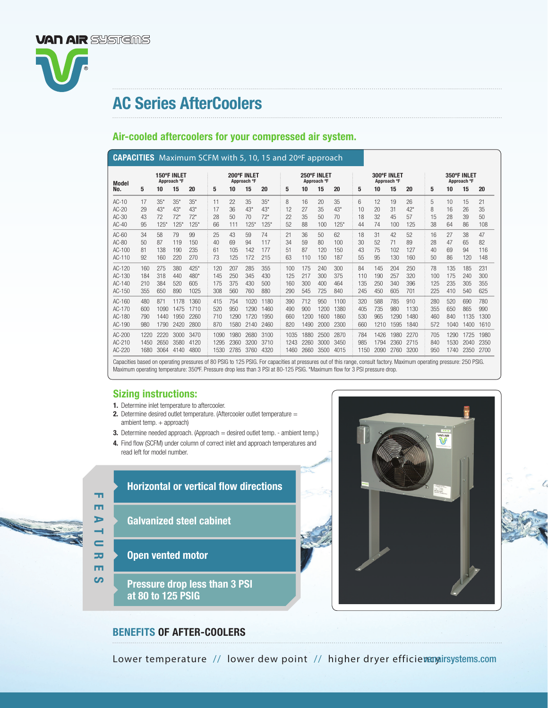

# AC Series AfterCoolers

## Air-cooled aftercoolers for your compressed air system.

|                                        | <b>CAPACITIES</b> Maximum SCFM with 5, 10, 15 and 20°F approach |                             |                              |                                 |  |                            |                            |                              |                              |  |                            |                            |                             |                              |  |                            |                           |                            |                             |                            |                           |                            |                            |  |  |
|----------------------------------------|-----------------------------------------------------------------|-----------------------------|------------------------------|---------------------------------|--|----------------------------|----------------------------|------------------------------|------------------------------|--|----------------------------|----------------------------|-----------------------------|------------------------------|--|----------------------------|---------------------------|----------------------------|-----------------------------|----------------------------|---------------------------|----------------------------|----------------------------|--|--|
| <b>Model</b>                           | 150°F INLET<br>Approach °F                                      |                             |                              |                                 |  | 200°F INLET<br>Approach °F |                            |                              |                              |  | 250°F INLET<br>Approach °F |                            |                             |                              |  | 300°F INLET<br>Approach °F |                           |                            |                             | 350°F INLET<br>Approach °F |                           |                            |                            |  |  |
| No.                                    | 5                                                               | 10                          | 15                           | 20                              |  | 5                          | 10                         | 15                           | 20                           |  | 5                          | 10                         | 15                          | 20                           |  | 5                          | 10                        | 15                         | 20                          | 5                          | 10                        | 15                         | 20                         |  |  |
| AC-10<br>$AC-20$                       | 17<br>29                                                        | $35*$<br>$43*$              | $35*$<br>$43*$               | $35*$<br>$43*$                  |  | 11<br>17                   | 22<br>36                   | 35<br>$43*$                  | $35*$<br>$43*$               |  | 8<br>12                    | 16<br>27                   | 20<br>35                    | 35<br>$43*$                  |  | 6<br>10                    | 12<br>20                  | 19<br>31                   | 26<br>$42*$                 | 5<br>8                     | 10<br>16                  | 15<br>26                   | 21<br>35                   |  |  |
| $AC-30$<br>$AC-40$                     | 43<br>95                                                        | 72<br>125'                  | $72*$<br>$125*$              | $72*$<br>$125*$                 |  | 28<br>66                   | 50<br>111                  | 70<br>$125*$                 | $72*$<br>$125*$              |  | 22<br>52                   | 35<br>88                   | 50<br>100                   | 70<br>$125*$                 |  | 18<br>44                   | 32<br>74                  | 45<br>100                  | 57<br>125                   | 15<br>38                   | 28<br>64                  | 39<br>86                   | 50<br>108                  |  |  |
| $AC-60$<br>$AC-80$<br>AC-100<br>AC-110 | 34<br>50<br>81<br>92                                            | 58<br>87<br>138<br>160      | 79<br>119<br>190<br>220      | 99<br>150<br>235<br>270         |  | 25<br>40<br>61<br>73       | 43<br>69<br>105<br>125     | 59<br>94<br>142<br>172       | 74<br>117<br>177<br>215      |  | 21<br>34<br>51<br>63       | 36<br>59<br>87<br>110      | 50<br>80<br>120<br>150      | 62<br>100<br>150<br>187      |  | 18<br>30<br>43<br>55       | 31<br>52<br>75<br>95      | 42<br>71<br>102<br>130     | 52<br>89<br>127<br>160      | 16<br>28<br>40<br>50       | 27<br>47<br>69<br>86      | 38<br>65<br>94<br>120      | 47<br>82<br>116<br>148     |  |  |
| AC-120<br>AC-130<br>AC-140<br>AC-150   | 160<br>184<br>210<br>355                                        | 275<br>318<br>384<br>650    | 380<br>440<br>520<br>890     | $425*$<br>$480*$<br>605<br>1025 |  | 120<br>145<br>175<br>308   | 207<br>250<br>375<br>560   | 285<br>345<br>430<br>760     | 355<br>430<br>500<br>880     |  | 100<br>125<br>160<br>290   | 175<br>217<br>300<br>545   | 240<br>300<br>400<br>725    | 300<br>375<br>464<br>840     |  | 84<br>110<br>135<br>245    | 145<br>190<br>250<br>450  | 204<br>257<br>340<br>605   | 250<br>320<br>396<br>701    | 78<br>100<br>125<br>225    | 135<br>175<br>235<br>410  | 185<br>240<br>305<br>540   | 231<br>300<br>355<br>625   |  |  |
| AC-160<br>AC-170<br>AC-180<br>AC-190   | 480<br>600<br>790<br>980                                        | 871<br>1090<br>1440<br>1790 | 1178<br>1475<br>1950<br>2420 | 1360<br>1710<br>2260<br>2800    |  | 415<br>520<br>710<br>870   | 754<br>950<br>1290<br>1580 | 1020<br>1290<br>1720<br>2140 | 1180<br>1460<br>1950<br>2460 |  | 390<br>490<br>660<br>820   | 712<br>900<br>1200<br>1490 | 950<br>1200<br>1600<br>2000 | 1100<br>1380<br>1860<br>2300 |  | 320<br>405<br>530<br>660   | 588<br>735<br>965<br>1210 | 785<br>980<br>1290<br>1595 | 910<br>1130<br>1480<br>1840 | 280<br>355<br>460<br>572   | 520<br>650<br>840<br>1040 | 690<br>865<br>1135<br>1400 | 780<br>990<br>1300<br>1610 |  |  |
| AC-200<br>AC-210<br>AC-220             | 1220<br>1450<br>1680                                            | 2220<br>2650<br>3064        | 3000<br>3580<br>4140         | 3470<br>4120<br>4800            |  | 1090<br>1295<br>1530       | 1980<br>2360<br>2785       | 2680<br>3200<br>3760         | 3100<br>3710<br>4320         |  | 1035<br>1243<br>1460       | 1880<br>2260<br>2660       | 2500<br>3000<br>3500        | 2870<br>3450<br>4015         |  | 784<br>985<br>1150         | 1426<br>1794<br>2090      | 1980<br>2360<br>2760       | 2270<br>2715<br>3200        | 705<br>840<br>950          | 1290<br>1530<br>1740      | 1725<br>2040<br>2350       | 1980<br>2350<br>2700       |  |  |

Capacities based on operating pressures of 80 PSIG to 125 PSIG. For capacities at pressures out of this range, consult factory. Maximum operating pressure: 250 PSIG. Maximum operating temperature: 350°F. Pressure drop less than 3 PSI at 80-125 PSIG. \*Maximum flow for 3 PSI pressure drop.

### Sizing instructions:

- 1. Determine inlet temperature to aftercooler.
- 2. Determine desired outlet temperature. (Aftercooler outlet temperature = ambient temp. + approach)
- 3. Determine needed approach. (Approach = desired outlet temp. ambient temp.)
- 4. Find flow (SCFM) under column of correct inlet and approach temperatures and read left for model number.



- **Horizontal or vertical flow directions**
- Galvanized steel cabinet
- Open vented motor
- Pressure drop less than 3 PSI at 80 to 125 PSIG

## BENEFITS OF AFTER-COOLERS

Lower temperature // lower dew point // higher dryer efficiemamairsystems.com

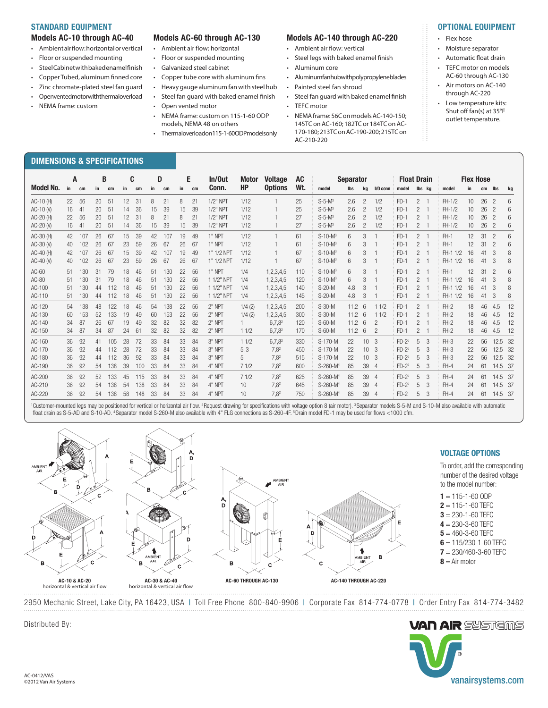#### STANDARD EQUIPMENT

#### Models AC-10 through AC-40

- Ambient air fow: horizontal or vertical
- Floor or suspended mounting
- Steel Cabinet with baked enamel fnish
- Copper Tubed, aluminum fnned core
- Zinc chromate-plated steel fan guard
- Openvented motor with thermal overload

DIMENSIONS & SPECIFICATIONS

• NEMA frame: custom

- Models AC-60 through AC-130
- Ambient air fow: horizontal
- Floor or suspended mounting
- Galvanized steel cabinet
- Copper tube core with aluminum fns
- Heavy gauge aluminum fan with steel hub
- Steel fan guard with baked enamel fnish
- Open vented motor
- NEMA frame: custom on 115-1-60 ODP models, NEMA 48 on others
- Thermaloverload on 115-1-60 ODP models only

#### Models AC-140 through AC-220

- Ambient air fow: vertical
- Steel legs with baked enamel fnish
- Aluminum core
- Aluminum fan hub with polypropylene blades
- Painted steel fan shroud
- Steel fan guard with baked enamel fnish
- TEFC motor
- NEMA frame: 56C on models AC-140-150; 145TC on AC-160; 182TC or 184TC on AC-170-180; 213TC on AC-190-200; 215TC on AC-210-220
- Flex hose
- Moisture separator
- Automatic foat drain
- TEFC motor on models AC-60 through AC-130

OPTIONAL EQUIPMENT

- Air motors on AC-140 through AC-220
- Low temperature kits: Shut off fan(s) at 35°F outlet temperature.

|                  | B<br>A |     |    | C   |    | D   |    | E   |    | In/Out | Motor      | <b>AC</b><br><b>Voltage</b> |                  | <b>Separator</b> |                      |      |                 | <b>Float Drain</b> |         |                | <b>Flex Hose</b> |          |    |    |                          |     |
|------------------|--------|-----|----|-----|----|-----|----|-----|----|--------|------------|-----------------------------|------------------|------------------|----------------------|------|-----------------|--------------------|---------|----------------|------------------|----------|----|----|--------------------------|-----|
| <b>Model No.</b> | in     | cm  | in | cm  | in | cm  | in | cm  | in | cm     | Conn.      | <b>HP</b>                   | <b>Options</b>   | Wt.              | model                | lbs  | kg              | $1/0$ conn         | model   |                | lbs kg           | model    | in | cm | lbs                      | kg  |
| $AC-10$ (H)      | 22     | 56  | 20 | 51  | 12 | 31  | 8  | 21  | 8  | 21     | 1/2" NPT   | 1/12                        |                  | 25               | $S-5-M^3$            | 2.6  | $\overline{2}$  | 1/2                | $FD-1$  | $\overline{2}$ | $\overline{1}$   | $FH-1/2$ | 10 | 26 | $\overline{2}$           | 6   |
| AC-10 (V)        | 16     | 41  | 20 | 51  | 14 | 36  | 15 | 39  | 15 | 39     | 1/2" NPT   | 1/12                        |                  | 25               | $S-5-M^3$            | 2.6  | $\mathcal{P}$   | 1/2                | $FD-1$  | $\mathfrak{p}$ | $\overline{1}$   | FH-1/2   | 10 | 26 | $\overline{\phantom{0}}$ | 6   |
| AC-20 (H)        | 22     | 56  | 20 | 51  | 12 | 31  | 8  | 21  | 8  | 21     | 1/2" NPT   | 1/12                        |                  | 27               | $S-5-M^3$            | 2.6  | $\mathcal{P}$   | 1/2                | $FD-1$  | $\overline{c}$ | $\overline{1}$   | FH-1/2   | 10 | 26 | $\overline{\phantom{0}}$ | 6   |
| AC-20 (V)        | 16     | 41  | 20 | 51  | 14 | 36  | 15 | 39  | 15 | 39     | 1/2" NPT   | 1/12                        |                  | 27               | $S-5-M^3$            | 2.6  | $\overline{c}$  | 1/2                | $FD-1$  | $\mathbf{2}$   | -1               | $FH-1/2$ | 10 | 26 | $\overline{2}$           | 6   |
| AC-30 (H)        | 42     | 107 | 26 | 67  | 15 | 39  | 42 | 107 | 19 | 49     | 1" NPT     | 1/12                        |                  | 61               | $S-10-M3$            | 6    | 3               |                    | $FD-1$  | $\mathcal{P}$  | $\overline{1}$   | FH-1     | 12 | 31 | $\overline{2}$           | 6   |
| AC-30 (V)        | 40     | 102 | 26 | 67  | 23 | 59  | 26 | 67  | 26 | 67     | 1" NPT     | 1/12                        |                  | 61               | $S-10-M3$            | 6    | 3               |                    | $FD-1$  | $\overline{c}$ | $\overline{1}$   | FH-1     | 12 | 31 | $\overline{2}$           | 6   |
| $AC-40$ (H)      | 42     | 107 | 26 | 67  | 15 | 39  | 42 | 107 | 19 | 49     | 1" 1/2 NPT | 1/12                        |                  | 67               | $S-10-M^3$           | 6    | 3               |                    | $FD-1$  | $\mathcal{P}$  | -1               | FH-1 1/2 | 16 | 41 | 3                        | 8   |
| AC-40 $(N)$      | 40     | 102 | 26 | 67  | 23 | 59  | 26 | 67  | 26 | 67     | 1" 1/2 NPT | 1/12                        |                  | 67               | $S-10-M^3$           | 6    | 3               |                    | $FD-1$  | $\overline{2}$ | $\overline{1}$   | FH-1 1/2 | 16 | 41 | 3                        | 8   |
| $AC-60$          | 51     | 130 | 31 | 79  | 18 | 46  | 51 | 130 | 22 | 56     | 1" NPT     | 1/4                         | 1,2,3,4,5        | 110              | $S-10-M^3$           | 6    | 3               |                    | $FD-1$  | $\overline{2}$ | $\overline{1}$   | FH-1     | 12 | 31 | $\overline{\phantom{0}}$ | 6   |
| AC-80            | 51     | 130 | 31 | 79  | 18 | 46  | 51 | 130 | 22 | 56     | 1 1/2" NPT | 1/4                         | 1,2,3,4,5        | 120              | $S-10-M^3$           | 6    | 3               |                    | $FD-1$  | $\overline{c}$ | $\overline{1}$   | FH-1 1/2 | 16 | 41 | 3                        | 8   |
| AC-100           | 51     | 130 | 44 | 112 | 18 | 46  | 51 | 130 | 22 | 56     | 1 1/2" NPT | 1/4                         | 1,2,3,4,5        | 140              | $S-20-M$             | 4.8  | 3               |                    | $FD-1$  | $\mathcal{P}$  | $\overline{1}$   | FH-1 1/2 | 16 | 41 | 3                        | 8   |
| AC-110           | 51     | 130 | 44 | 112 | 18 | 46  | 51 | 130 | 22 | 56     | 1 1/2" NPT | 1/4                         | 1,2,3,4,5        | 145              | $S-20-M$             | 4.8  | 3               |                    | $FD-1$  | $\mathbf{2}$   | -1               | FH-1 1/2 | 16 | 41 | 3                        | 8   |
| AC-120           | 54     | 138 | 48 | 122 | 18 | 46  | 54 | 138 | 22 | 56     | 2" NPT     | 1/4(2)                      | 1,2,3,4,5        | 200              | $S-30-M$             | 11.2 | 6               | 11/2               | $FD-1$  | $\mathcal{P}$  | $\overline{1}$   | $FH-2$   | 18 | 46 | 4.5                      | -12 |
| AC-130           | 60     | 153 | 52 | 133 | 19 | 49  | 60 | 153 | 22 | 56     | $2"$ NPT   | 1/4(2)                      | 1,2,3,4,5        | 300              | $S-30-M$             | 11.2 | 6               | 11/2               | $FD-1$  | 2              | -1               | $FH-2$   | 18 | 46 | 4.5                      | -12 |
| AC-140           | 34     | 87  | 26 | 67  | 19 | 49  | 32 | 82  | 32 | 82     | 2" NPT     |                             | $6,7,8^2$        | 120              | $S-60-M$             | 11.2 | 6               | $\overline{c}$     | $FD-1$  | $\overline{c}$ | -1               | $FH-2$   | 18 | 46 | 4.5                      | 12  |
| AC-150           | 34     | 87  | 34 | 87  | 24 | 61  | 32 | 82  | 32 | 82     | 2" NPT     | 11/2                        | $6,7,8^2$        | 170              | $S-60-M$             | 11.2 | 6               | $\overline{c}$     | $FD-1$  | 2              | -1               | $FH-2$   | 18 | 46 | 4.5                      | 12  |
| AC-160           | 36     | 92  | 41 | 105 | 28 | 72  | 33 | 84  | 33 | 84     | 3" NPT     | 11/2                        | $6,7,8^2$        | 330              | S-170-M              | 22   | 10 <sup>1</sup> | 3                  | $FD-25$ | 5              | 3                | $FH-3$   | 22 | 56 | 12.5 32                  |     |
| AC-170           | 36     | 92  | 44 | 112 | 28 | 72  | 33 | 84  | 33 | 84     | $3"$ NPT   | 5.3                         | 7.8 <sup>2</sup> | 450              | S-170-M              | 22   | 10 <sup>°</sup> | 3                  | $FD-25$ | 5              | 3                | $FH-3$   | 22 | 56 | 12.5 32                  |     |
| AC-180           | 36     | 92  | 44 | 112 | 36 | 92  | 33 | 84  | 33 | 84     | $3"$ NPT   | 5                           | $7,8^2$          | 515              | S-170-M              | 22   | 10 <sup>°</sup> | 3                  | $FD-25$ | 5              | 3                | $FH-3$   | 22 | 56 | 12.5 32                  |     |
| AC-190           | 36     | 92  | 54 | 138 | 39 | 100 | 33 | 84  | 33 | 84     | 4" NPT     | 71/2                        | 7.8 <sup>2</sup> | 600              | S-260-M <sup>4</sup> | 85   | 39              | $\overline{4}$     | $FD-25$ | 5              | 3                | $FH-4$   | 24 | 61 | 14.5 37                  |     |
| AC-200           | 36     | 92  | 52 | 133 | 45 | 115 | 33 | 84  | 33 | 84     | 4" NPT     | 71/2                        | 7,82             | 625              | S-260-M <sup>4</sup> | 85   | 39              | $\overline{4}$     | $FD-25$ | 5              | 3                | $FH-4$   | 24 | 61 | 14.5 37                  |     |
| AC-210           | 36     | 92  | 54 | 138 | 54 | 138 | 33 | 84  | 33 | 84     | 4" NPT     | 10                          | $7,8^2$          | 645              | S-260-M <sup>4</sup> | 85   | 39              | $\overline{4}$     | $FD-25$ | 5              | 3                | $FH-4$   | 24 | 61 | 14.5 37                  |     |
| AC-220           | 36     | 92  | 54 | 138 | 58 | 148 | 33 | 84  | 33 | 84     | 4" NPT     | 10 <sup>1</sup>             | $7.8^{2}$        | 750              | S-260-M <sup>4</sup> | 85   | 39              | 4                  | $FD-2$  | 5              | 3                | $FH-4$   | 24 | 61 | 14.5 37                  |     |

<sup>1</sup>Customer-mounted legs may be positioned for vertical or horizontal air flow. <sup>2</sup> Request drawing for specifications with voltage option 8 (air motor). <sup>3</sup> Separator models S-5-M and S-10-M also available with automatic foat drain as S-5-AD and S-10-AD. 4 Separator model S-260-M also available with 4" FLG connections as S-260-4F. 5 Drain model FD-1 may be used for fows <1000 cfm.



2950 Mechanic Street, Lake City, PA 16423, USA | Toll Free Phone 800-840-9906 | Corporate Fax 814-774-0778 | Order Entry Fax 814-774-3482



Distributed By: